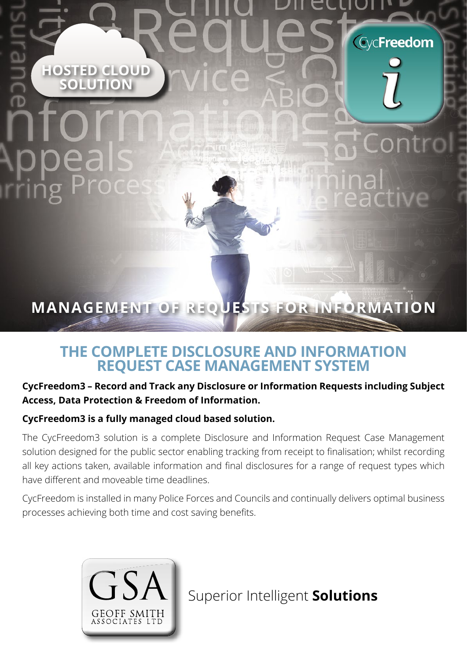**HOSTED CLOUD SOLUTION**

# **MANAGEMENT OF REQUESTS FOR INFORMATION**

**CycFreedom** 

## **THE COMPLETE DISCLOSURE AND INFORMATION REQUEST CASE MANAGEMENT SYSTEM**

### **CycFreedom3 – Record and Track any Disclosure or Information Requests including Subject Access, Data Protection & Freedom of Information.**

### **CycFreedom3 is a fully managed cloud based solution.**

The CycFreedom3 solution is a complete Disclosure and Information Request Case Management solution designed for the public sector enabling tracking from receipt to finalisation; whilst recording all key actions taken, available information and final disclosures for a range of request types which have different and moveable time deadlines.

CycFreedom is installed in many Police Forces and Councils and continually delivers optimal business processes achieving both time and cost saving benefits.



Superior Intelligent **Solutions**